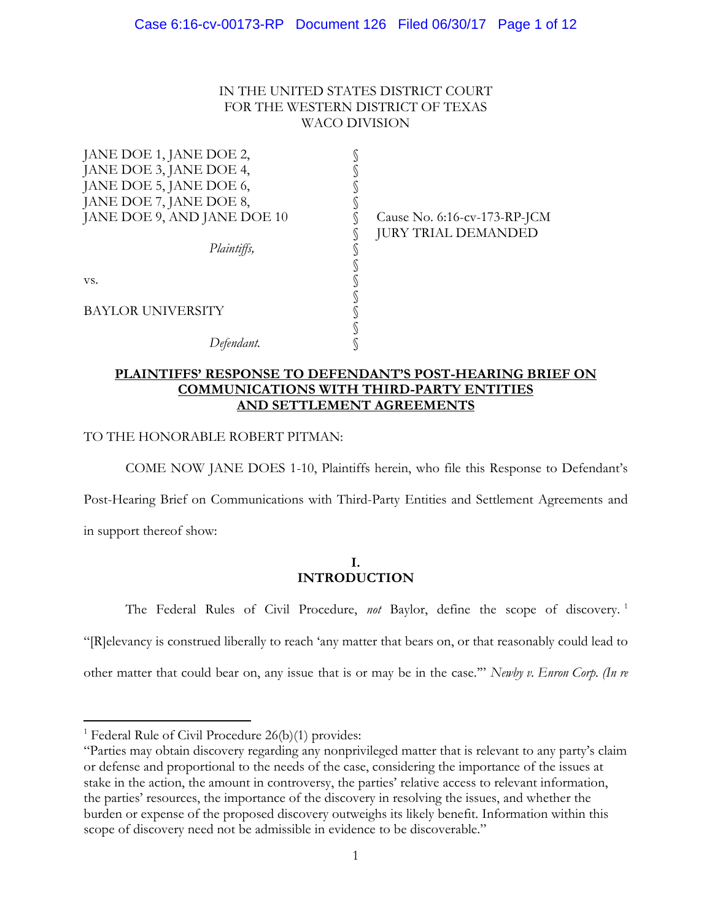## IN THE UNITED STATES DISTRICT COURT FOR THE WESTERN DISTRICT OF TEXAS WACO DIVISION

| JANE DOE 1, JANE DOE 2,     |                              |
|-----------------------------|------------------------------|
| JANE DOE 3, JANE DOE 4,     |                              |
| JANE DOE 5, JANE DOE 6,     |                              |
| JANE DOE 7, JANE DOE 8,     |                              |
| JANE DOE 9, AND JANE DOE 10 | Cause No. 6:16-cv-173-RP-JCM |
|                             | <b>JURY TRIAL DEMANDED</b>   |
| Plaintiffs,                 |                              |
|                             |                              |
| VS.                         |                              |
|                             |                              |
| BAYLOR UNIVERSITY           |                              |
|                             |                              |
|                             |                              |
|                             |                              |

## **PLAINTIFFS' RESPONSE TO DEFENDANT'S POST-HEARING BRIEF ON COMMUNICATIONS WITH THIRD-PARTY ENTITIES AND SETTLEMENT AGREEMENTS**

## TO THE HONORABLE ROBERT PITMAN:

COME NOW JANE DOES 1-10, Plaintiffs herein, who file this Response to Defendant's

Post-Hearing Brief on Communications with Third-Party Entities and Settlement Agreements and

in support thereof show:

 $\overline{a}$ 

## **I. INTRODUCTION**

The Federal Rules of Civil Procedure, *not* Baylor, define the scope of discovery. <sup>1</sup>

"[R]elevancy is construed liberally to reach 'any matter that bears on, or that reasonably could lead to

other matter that could bear on, any issue that is or may be in the case.'" *Newby v. Enron Corp. (In re* 

<sup>&</sup>lt;sup>1</sup> Federal Rule of Civil Procedure  $26(b)(1)$  provides:

<sup>&</sup>quot;Parties may obtain discovery regarding any nonprivileged matter that is relevant to any party's claim or defense and proportional to the needs of the case, considering the importance of the issues at stake in the action, the amount in controversy, the parties' relative access to relevant information, the parties' resources, the importance of the discovery in resolving the issues, and whether the burden or expense of the proposed discovery outweighs its likely benefit. Information within this scope of discovery need not be admissible in evidence to be discoverable."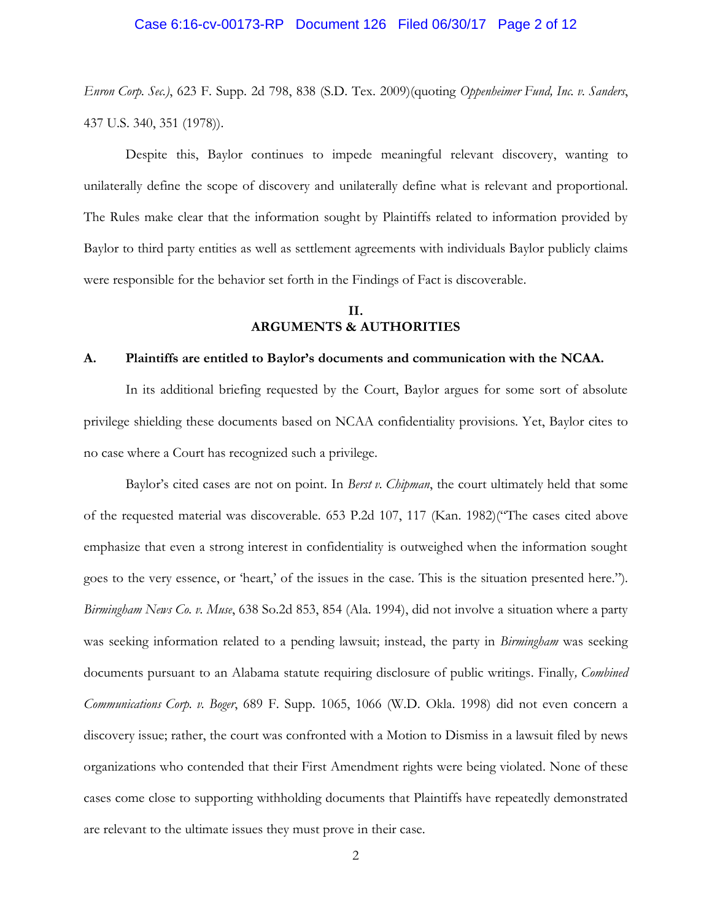#### Case 6:16-cv-00173-RP Document 126 Filed 06/30/17 Page 2 of 12

*Enron Corp. Sec.)*, 623 F. Supp. 2d 798, 838 (S.D. Tex. 2009)(quoting *Oppenheimer Fund, Inc. v. Sanders*, 437 U.S. 340, 351 (1978)).

Despite this, Baylor continues to impede meaningful relevant discovery, wanting to unilaterally define the scope of discovery and unilaterally define what is relevant and proportional. The Rules make clear that the information sought by Plaintiffs related to information provided by Baylor to third party entities as well as settlement agreements with individuals Baylor publicly claims were responsible for the behavior set forth in the Findings of Fact is discoverable.

## **II. ARGUMENTS & AUTHORITIES**

## **A. Plaintiffs are entitled to Baylor's documents and communication with the NCAA.**

In its additional briefing requested by the Court, Baylor argues for some sort of absolute privilege shielding these documents based on NCAA confidentiality provisions. Yet, Baylor cites to no case where a Court has recognized such a privilege.

Baylor's cited cases are not on point. In *Berst v. Chipman*, the court ultimately held that some of the requested material was discoverable. 653 P.2d 107, 117 (Kan. 1982)("The cases cited above emphasize that even a strong interest in confidentiality is outweighed when the information sought goes to the very essence, or 'heart,' of the issues in the case. This is the situation presented here."). *Birmingham News Co. v. Muse*, 638 So.2d 853, 854 (Ala. 1994), did not involve a situation where a party was seeking information related to a pending lawsuit; instead, the party in *Birmingham* was seeking documents pursuant to an Alabama statute requiring disclosure of public writings. Finally*, Combined Communications Corp. v. Boger*, 689 F. Supp. 1065, 1066 (W.D. Okla. 1998) did not even concern a discovery issue; rather, the court was confronted with a Motion to Dismiss in a lawsuit filed by news organizations who contended that their First Amendment rights were being violated. None of these cases come close to supporting withholding documents that Plaintiffs have repeatedly demonstrated are relevant to the ultimate issues they must prove in their case.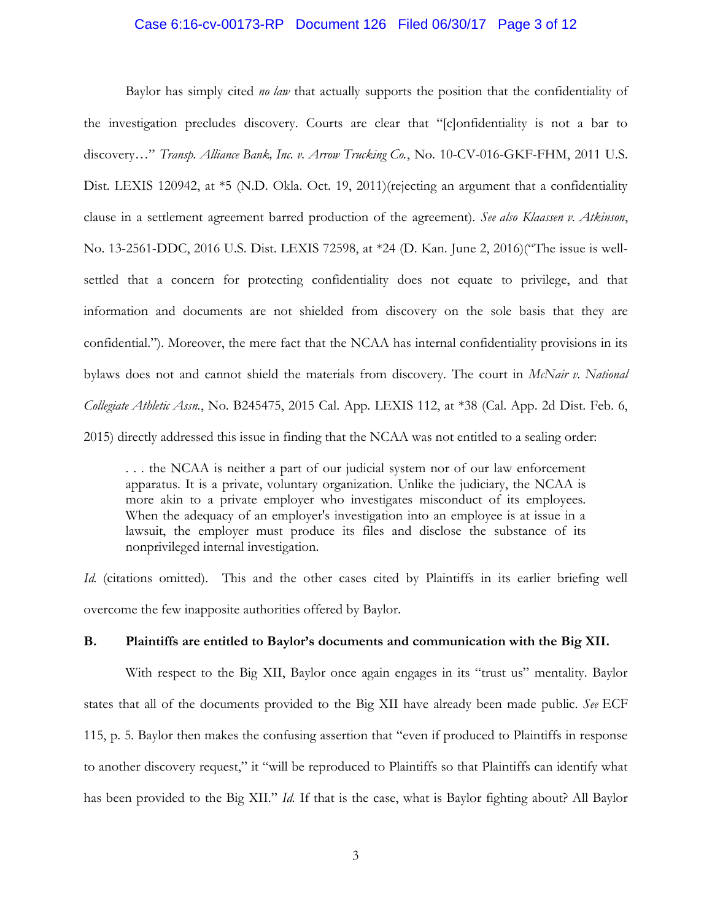### Case 6:16-cv-00173-RP Document 126 Filed 06/30/17 Page 3 of 12

Baylor has simply cited *no law* that actually supports the position that the confidentiality of the investigation precludes discovery. Courts are clear that "[c]onfidentiality is not a bar to discovery…" *Transp. Alliance Bank, Inc. v. Arrow Trucking Co.*, No. 10-CV-016-GKF-FHM, 2011 U.S. Dist. LEXIS 120942, at \*5 (N.D. Okla. Oct. 19, 2011)(rejecting an argument that a confidentiality clause in a settlement agreement barred production of the agreement). *See also Klaassen v. Atkinson*, No. 13-2561-DDC, 2016 U.S. Dist. LEXIS 72598, at \*24 (D. Kan. June 2, 2016)("The issue is wellsettled that a concern for protecting confidentiality does not equate to privilege, and that information and documents are not shielded from discovery on the sole basis that they are confidential."). Moreover, the mere fact that the NCAA has internal confidentiality provisions in its bylaws does not and cannot shield the materials from discovery. The court in *McNair v. National Collegiate Athletic Assn.*, No. B245475, 2015 Cal. App. LEXIS 112, at \*38 (Cal. App. 2d Dist. Feb. 6, 2015) directly addressed this issue in finding that the NCAA was not entitled to a sealing order:

. . . the NCAA is neither a part of our judicial system nor of our law enforcement apparatus. It is a private, voluntary organization. Unlike the judiciary, the NCAA is more akin to a private employer who investigates misconduct of its employees. When the adequacy of an employer's investigation into an employee is at issue in a lawsuit, the employer must produce its files and disclose the substance of its nonprivileged internal investigation.

*Id.* (citations omitted). This and the other cases cited by Plaintiffs in its earlier briefing well overcome the few inapposite authorities offered by Baylor.

#### **B. Plaintiffs are entitled to Baylor's documents and communication with the Big XII.**

With respect to the Big XII, Baylor once again engages in its "trust us" mentality. Baylor states that all of the documents provided to the Big XII have already been made public. *See* ECF 115, p. 5. Baylor then makes the confusing assertion that "even if produced to Plaintiffs in response to another discovery request," it "will be reproduced to Plaintiffs so that Plaintiffs can identify what has been provided to the Big XII." *Id.* If that is the case, what is Baylor fighting about? All Baylor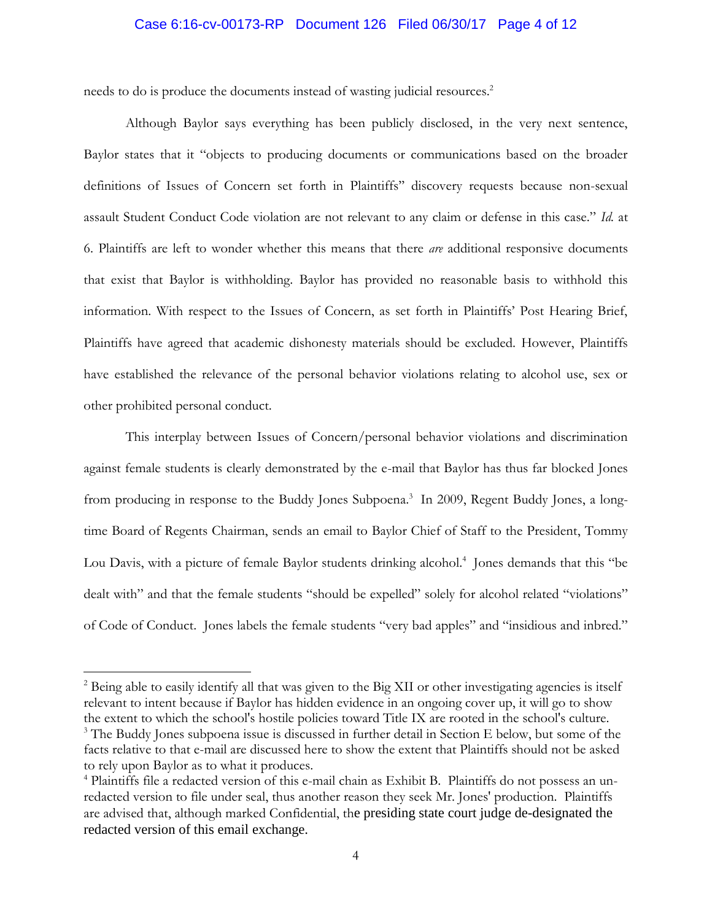### Case 6:16-cv-00173-RP Document 126 Filed 06/30/17 Page 4 of 12

needs to do is produce the documents instead of wasting judicial resources.<sup>2</sup>

Although Baylor says everything has been publicly disclosed, in the very next sentence, Baylor states that it "objects to producing documents or communications based on the broader definitions of Issues of Concern set forth in Plaintiffs'' discovery requests because non-sexual assault Student Conduct Code violation are not relevant to any claim or defense in this case." *Id.* at 6. Plaintiffs are left to wonder whether this means that there *are* additional responsive documents that exist that Baylor is withholding. Baylor has provided no reasonable basis to withhold this information. With respect to the Issues of Concern, as set forth in Plaintiffs' Post Hearing Brief, Plaintiffs have agreed that academic dishonesty materials should be excluded. However, Plaintiffs have established the relevance of the personal behavior violations relating to alcohol use, sex or other prohibited personal conduct.

This interplay between Issues of Concern/personal behavior violations and discrimination against female students is clearly demonstrated by the e-mail that Baylor has thus far blocked Jones from producing in response to the Buddy Jones Subpoena.<sup>3</sup> In 2009, Regent Buddy Jones, a longtime Board of Regents Chairman, sends an email to Baylor Chief of Staff to the President, Tommy Lou Davis, with a picture of female Baylor students drinking alcohol.<sup>4</sup> Jones demands that this "be dealt with" and that the female students "should be expelled" solely for alcohol related "violations" of Code of Conduct. Jones labels the female students "very bad apples" and "insidious and inbred."

<sup>&</sup>lt;sup>2</sup> Being able to easily identify all that was given to the Big XII or other investigating agencies is itself relevant to intent because if Baylor has hidden evidence in an ongoing cover up, it will go to show the extent to which the school's hostile policies toward Title IX are rooted in the school's culture.  $3$  The Buddy Jones subpoena issue is discussed in further detail in Section E below, but some of the facts relative to that e-mail are discussed here to show the extent that Plaintiffs should not be asked to rely upon Baylor as to what it produces.

<sup>4</sup> Plaintiffs file a redacted version of this e-mail chain as Exhibit B. Plaintiffs do not possess an unredacted version to file under seal, thus another reason they seek Mr. Jones' production. Plaintiffs are advised that, although marked Confidential, the presiding state court judge de-designated the redacted version of this email exchange.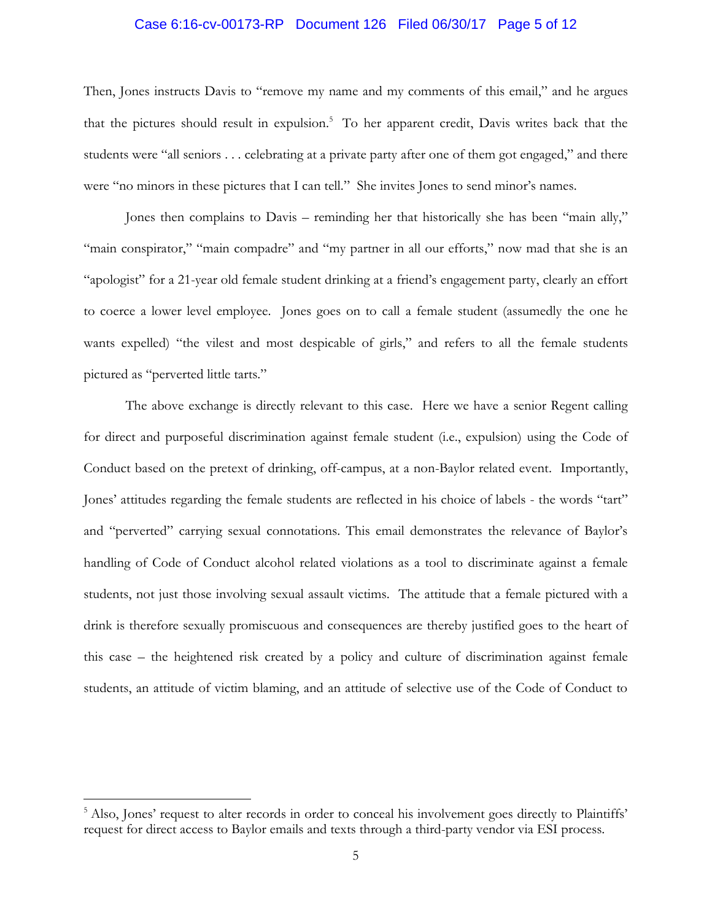#### Case 6:16-cv-00173-RP Document 126 Filed 06/30/17 Page 5 of 12

Then, Jones instructs Davis to "remove my name and my comments of this email," and he argues that the pictures should result in expulsion. 5 To her apparent credit, Davis writes back that the students were "all seniors . . . celebrating at a private party after one of them got engaged," and there were "no minors in these pictures that I can tell." She invites Jones to send minor's names.

Jones then complains to Davis – reminding her that historically she has been "main ally," "main conspirator," "main compadre" and "my partner in all our efforts," now mad that she is an "apologist" for a 21-year old female student drinking at a friend's engagement party, clearly an effort to coerce a lower level employee. Jones goes on to call a female student (assumedly the one he wants expelled) "the vilest and most despicable of girls," and refers to all the female students pictured as "perverted little tarts."

The above exchange is directly relevant to this case. Here we have a senior Regent calling for direct and purposeful discrimination against female student (i.e., expulsion) using the Code of Conduct based on the pretext of drinking, off-campus, at a non-Baylor related event. Importantly, Jones' attitudes regarding the female students are reflected in his choice of labels - the words "tart" and "perverted" carrying sexual connotations. This email demonstrates the relevance of Baylor's handling of Code of Conduct alcohol related violations as a tool to discriminate against a female students, not just those involving sexual assault victims. The attitude that a female pictured with a drink is therefore sexually promiscuous and consequences are thereby justified goes to the heart of this case – the heightened risk created by a policy and culture of discrimination against female students, an attitude of victim blaming, and an attitude of selective use of the Code of Conduct to

<sup>&</sup>lt;sup>5</sup> Also, Jones' request to alter records in order to conceal his involvement goes directly to Plaintiffs' request for direct access to Baylor emails and texts through a third-party vendor via ESI process.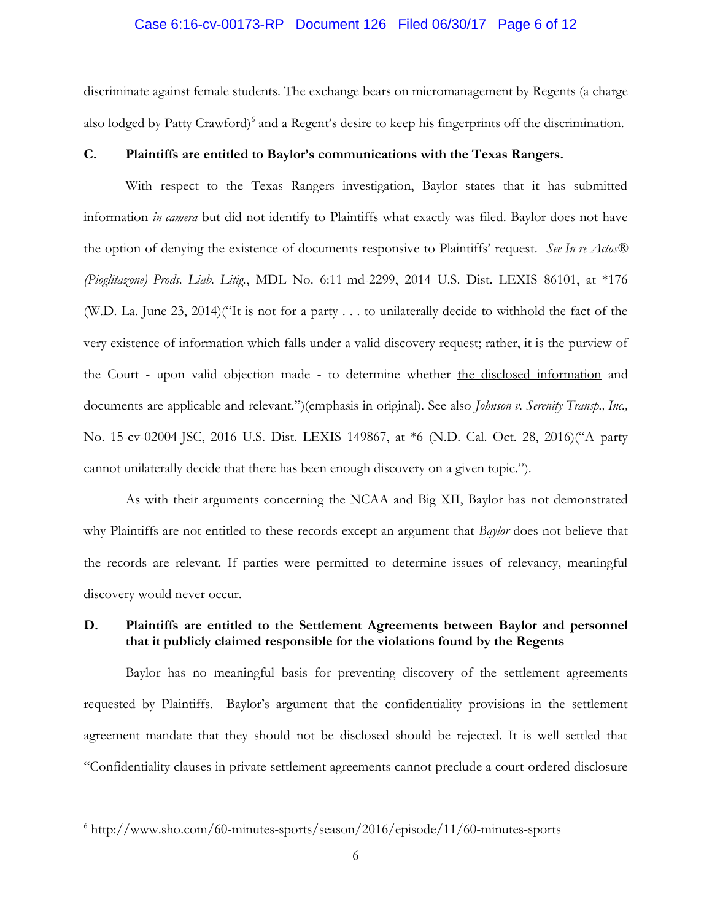#### Case 6:16-cv-00173-RP Document 126 Filed 06/30/17 Page 6 of 12

discriminate against female students. The exchange bears on micromanagement by Regents (a charge also lodged by Patty Crawford)<sup>6</sup> and a Regent's desire to keep his fingerprints off the discrimination.

## **C. Plaintiffs are entitled to Baylor's communications with the Texas Rangers.**

With respect to the Texas Rangers investigation, Baylor states that it has submitted information *in camera* but did not identify to Plaintiffs what exactly was filed. Baylor does not have the option of denying the existence of documents responsive to Plaintiffs' request. *See In re Actos® (Pioglitazone) Prods. Liab. Litig.*, MDL No. 6:11-md-2299, 2014 U.S. Dist. LEXIS 86101, at \*176 (W.D. La. June 23, 2014)("It is not for a party . . . to unilaterally decide to withhold the fact of the very existence of information which falls under a valid discovery request; rather, it is the purview of the Court - upon valid objection made - to determine whether the disclosed information and documents are applicable and relevant.")(emphasis in original). See also *Johnson v. Serenity Transp., Inc.,* No. 15-cv-02004-JSC, 2016 U.S. Dist. LEXIS 149867, at \*6 (N.D. Cal. Oct. 28, 2016)("A party cannot unilaterally decide that there has been enough discovery on a given topic.").

As with their arguments concerning the NCAA and Big XII, Baylor has not demonstrated why Plaintiffs are not entitled to these records except an argument that *Baylor* does not believe that the records are relevant. If parties were permitted to determine issues of relevancy, meaningful discovery would never occur.

## **D. Plaintiffs are entitled to the Settlement Agreements between Baylor and personnel that it publicly claimed responsible for the violations found by the Regents**

Baylor has no meaningful basis for preventing discovery of the settlement agreements requested by Plaintiffs. Baylor's argument that the confidentiality provisions in the settlement agreement mandate that they should not be disclosed should be rejected. It is well settled that "Confidentiality clauses in private settlement agreements cannot preclude a court-ordered disclosure

 $6$  http://www.sho.com/60-minutes-sports/season/2016/episode/11/60-minutes-sports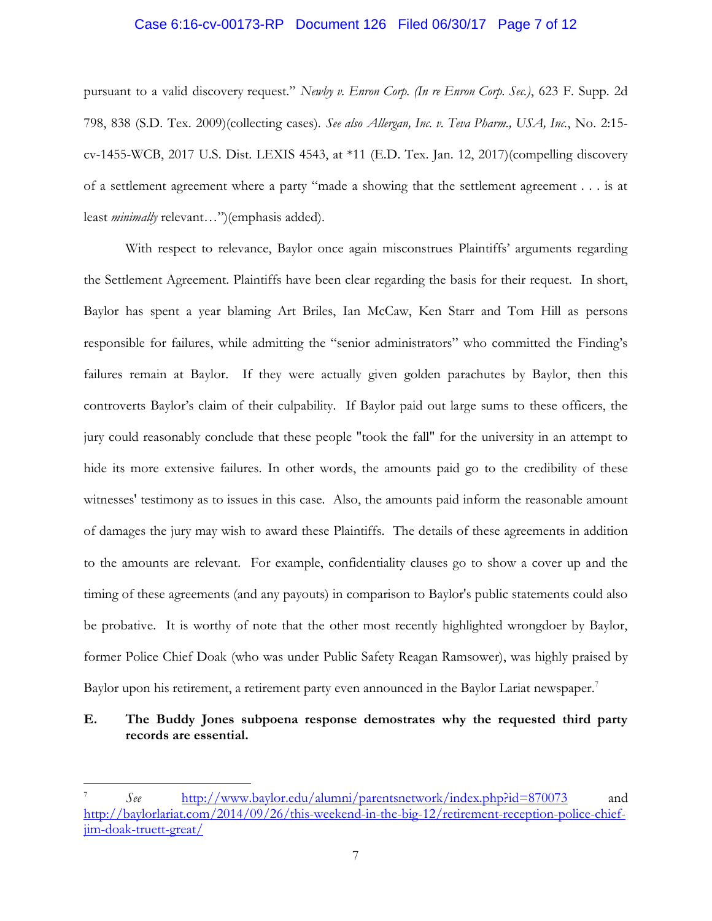### Case 6:16-cv-00173-RP Document 126 Filed 06/30/17 Page 7 of 12

pursuant to a valid discovery request." *Newby v. Enron Corp. (In re Enron Corp. Sec.)*, 623 F. Supp. 2d 798, 838 (S.D. Tex. 2009)(collecting cases). *See also Allergan, Inc. v. Teva Pharm., USA, Inc.*, No. 2:15 cv-1455-WCB, 2017 U.S. Dist. LEXIS 4543, at \*11 (E.D. Tex. Jan. 12, 2017)(compelling discovery of a settlement agreement where a party "made a showing that the settlement agreement . . . is at least *minimally* relevant…")(emphasis added).

With respect to relevance, Baylor once again misconstrues Plaintiffs' arguments regarding the Settlement Agreement. Plaintiffs have been clear regarding the basis for their request. In short, Baylor has spent a year blaming Art Briles, Ian McCaw, Ken Starr and Tom Hill as persons responsible for failures, while admitting the "senior administrators" who committed the Finding's failures remain at Baylor. If they were actually given golden parachutes by Baylor, then this controverts Baylor's claim of their culpability. If Baylor paid out large sums to these officers, the jury could reasonably conclude that these people "took the fall" for the university in an attempt to hide its more extensive failures. In other words, the amounts paid go to the credibility of these witnesses' testimony as to issues in this case. Also, the amounts paid inform the reasonable amount of damages the jury may wish to award these Plaintiffs. The details of these agreements in addition to the amounts are relevant. For example, confidentiality clauses go to show a cover up and the timing of these agreements (and any payouts) in comparison to Baylor's public statements could also be probative. It is worthy of note that the other most recently highlighted wrongdoer by Baylor, former Police Chief Doak (who was under Public Safety Reagan Ramsower), was highly praised by Baylor upon his retirement, a retirement party even announced in the Baylor Lariat newspaper.<sup>7</sup>

## **E. The Buddy Jones subpoena response demostrates why the requested third party records are essential.**

<sup>7</sup> *See* <http://www.baylor.edu/alumni/parentsnetwork/index.php?id=870073> and [http://baylorlariat.com/2014/09/26/this-weekend-in-the-big-12/retirement-reception-police-chief](http://baylorlariat.com/2014/09/26/this-weekend-in-the-big-12/retirement-reception-police-chief-jim-doak-truett-great/)[jim-doak-truett-great/](http://baylorlariat.com/2014/09/26/this-weekend-in-the-big-12/retirement-reception-police-chief-jim-doak-truett-great/)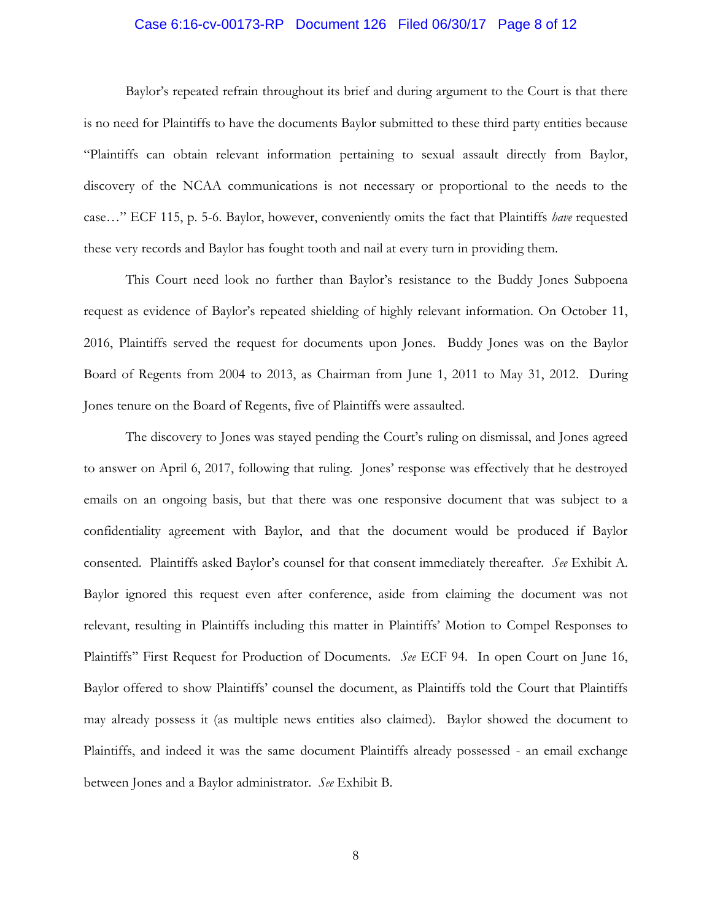#### Case 6:16-cv-00173-RP Document 126 Filed 06/30/17 Page 8 of 12

Baylor's repeated refrain throughout its brief and during argument to the Court is that there is no need for Plaintiffs to have the documents Baylor submitted to these third party entities because "Plaintiffs can obtain relevant information pertaining to sexual assault directly from Baylor, discovery of the NCAA communications is not necessary or proportional to the needs to the case…" ECF 115, p. 5-6. Baylor, however, conveniently omits the fact that Plaintiffs *have* requested these very records and Baylor has fought tooth and nail at every turn in providing them.

This Court need look no further than Baylor's resistance to the Buddy Jones Subpoena request as evidence of Baylor's repeated shielding of highly relevant information. On October 11, 2016, Plaintiffs served the request for documents upon Jones. Buddy Jones was on the Baylor Board of Regents from 2004 to 2013, as Chairman from June 1, 2011 to May 31, 2012. During Jones tenure on the Board of Regents, five of Plaintiffs were assaulted.

The discovery to Jones was stayed pending the Court's ruling on dismissal, and Jones agreed to answer on April 6, 2017, following that ruling. Jones' response was effectively that he destroyed emails on an ongoing basis, but that there was one responsive document that was subject to a confidentiality agreement with Baylor, and that the document would be produced if Baylor consented. Plaintiffs asked Baylor's counsel for that consent immediately thereafter. *See* Exhibit A. Baylor ignored this request even after conference, aside from claiming the document was not relevant, resulting in Plaintiffs including this matter in Plaintiffs' Motion to Compel Responses to Plaintiffs'' First Request for Production of Documents. *See* ECF 94. In open Court on June 16, Baylor offered to show Plaintiffs' counsel the document, as Plaintiffs told the Court that Plaintiffs may already possess it (as multiple news entities also claimed). Baylor showed the document to Plaintiffs, and indeed it was the same document Plaintiffs already possessed - an email exchange between Jones and a Baylor administrator. *See* Exhibit B.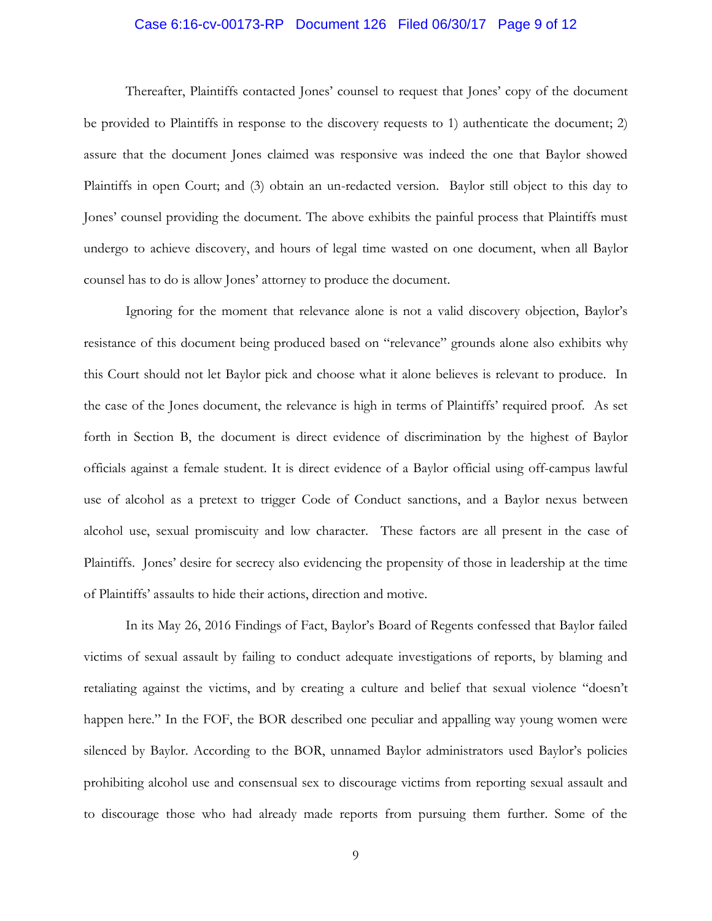#### Case 6:16-cv-00173-RP Document 126 Filed 06/30/17 Page 9 of 12

Thereafter, Plaintiffs contacted Jones' counsel to request that Jones' copy of the document be provided to Plaintiffs in response to the discovery requests to 1) authenticate the document; 2) assure that the document Jones claimed was responsive was indeed the one that Baylor showed Plaintiffs in open Court; and (3) obtain an un-redacted version. Baylor still object to this day to Jones' counsel providing the document. The above exhibits the painful process that Plaintiffs must undergo to achieve discovery, and hours of legal time wasted on one document, when all Baylor counsel has to do is allow Jones' attorney to produce the document.

Ignoring for the moment that relevance alone is not a valid discovery objection, Baylor's resistance of this document being produced based on "relevance" grounds alone also exhibits why this Court should not let Baylor pick and choose what it alone believes is relevant to produce. In the case of the Jones document, the relevance is high in terms of Plaintiffs' required proof. As set forth in Section B, the document is direct evidence of discrimination by the highest of Baylor officials against a female student. It is direct evidence of a Baylor official using off-campus lawful use of alcohol as a pretext to trigger Code of Conduct sanctions, and a Baylor nexus between alcohol use, sexual promiscuity and low character. These factors are all present in the case of Plaintiffs. Jones' desire for secrecy also evidencing the propensity of those in leadership at the time of Plaintiffs' assaults to hide their actions, direction and motive.

In its May 26, 2016 Findings of Fact, Baylor's Board of Regents confessed that Baylor failed victims of sexual assault by failing to conduct adequate investigations of reports, by blaming and retaliating against the victims, and by creating a culture and belief that sexual violence "doesn't happen here." In the FOF, the BOR described one peculiar and appalling way young women were silenced by Baylor. According to the BOR, unnamed Baylor administrators used Baylor's policies prohibiting alcohol use and consensual sex to discourage victims from reporting sexual assault and to discourage those who had already made reports from pursuing them further. Some of the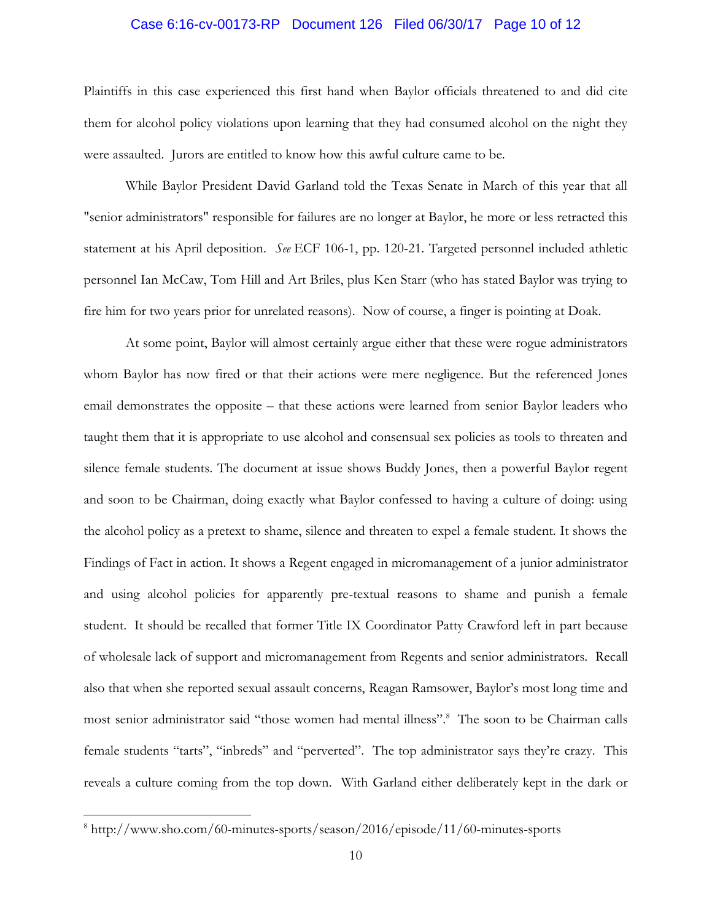#### Case 6:16-cv-00173-RP Document 126 Filed 06/30/17 Page 10 of 12

Plaintiffs in this case experienced this first hand when Baylor officials threatened to and did cite them for alcohol policy violations upon learning that they had consumed alcohol on the night they were assaulted. Jurors are entitled to know how this awful culture came to be.

While Baylor President David Garland told the Texas Senate in March of this year that all "senior administrators" responsible for failures are no longer at Baylor, he more or less retracted this statement at his April deposition. *See* ECF 106-1, pp. 120-21. Targeted personnel included athletic personnel Ian McCaw, Tom Hill and Art Briles, plus Ken Starr (who has stated Baylor was trying to fire him for two years prior for unrelated reasons). Now of course, a finger is pointing at Doak.

At some point, Baylor will almost certainly argue either that these were rogue administrators whom Baylor has now fired or that their actions were mere negligence. But the referenced Jones email demonstrates the opposite – that these actions were learned from senior Baylor leaders who taught them that it is appropriate to use alcohol and consensual sex policies as tools to threaten and silence female students. The document at issue shows Buddy Jones, then a powerful Baylor regent and soon to be Chairman, doing exactly what Baylor confessed to having a culture of doing: using the alcohol policy as a pretext to shame, silence and threaten to expel a female student. It shows the Findings of Fact in action. It shows a Regent engaged in micromanagement of a junior administrator and using alcohol policies for apparently pre-textual reasons to shame and punish a female student. It should be recalled that former Title IX Coordinator Patty Crawford left in part because of wholesale lack of support and micromanagement from Regents and senior administrators. Recall also that when she reported sexual assault concerns, Reagan Ramsower, Baylor's most long time and most senior administrator said "those women had mental illness".<sup>8</sup> The soon to be Chairman calls female students "tarts", "inbreds" and "perverted". The top administrator says they're crazy. This reveals a culture coming from the top down. With Garland either deliberately kept in the dark or

<sup>8</sup> http://www.sho.com/60-minutes-sports/season/2016/episode/11/60-minutes-sports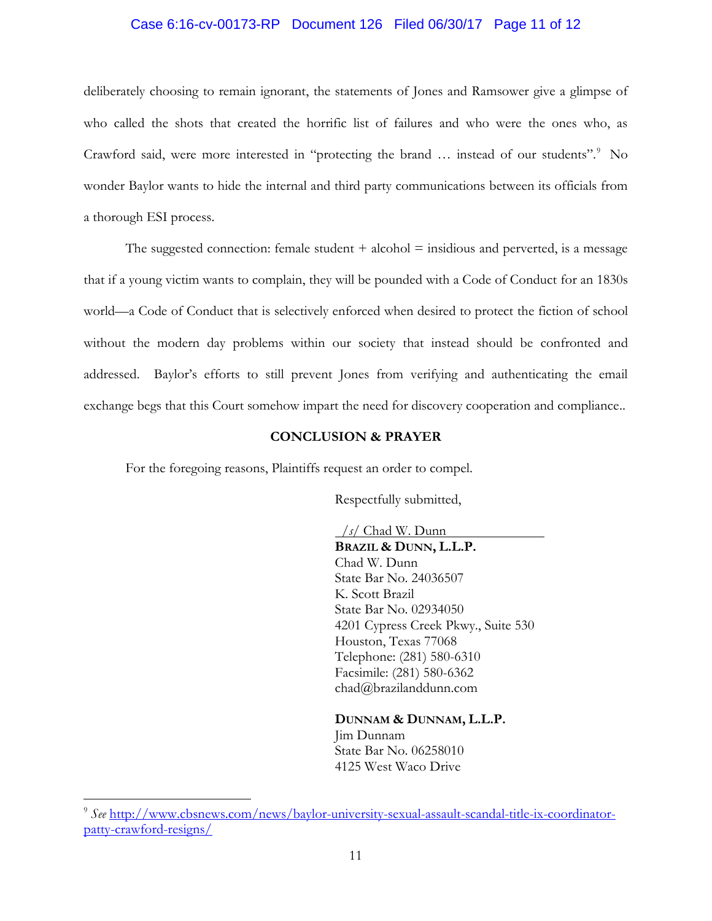## Case 6:16-cv-00173-RP Document 126 Filed 06/30/17 Page 11 of 12

deliberately choosing to remain ignorant, the statements of Jones and Ramsower give a glimpse of who called the shots that created the horrific list of failures and who were the ones who, as Crawford said, were more interested in "protecting the brand ... instead of our students".<sup>9</sup> No wonder Baylor wants to hide the internal and third party communications between its officials from a thorough ESI process.

The suggested connection: female student  $+$  alcohol  $=$  insidious and perverted, is a message that if a young victim wants to complain, they will be pounded with a Code of Conduct for an 1830s world—a Code of Conduct that is selectively enforced when desired to protect the fiction of school without the modern day problems within our society that instead should be confronted and addressed. Baylor's efforts to still prevent Jones from verifying and authenticating the email exchange begs that this Court somehow impart the need for discovery cooperation and compliance..

## **CONCLUSION & PRAYER**

For the foregoing reasons, Plaintiffs request an order to compel.

Respectfully submitted,

 */s/* Chad W. Dunn **BRAZIL & DUNN, L.L.P.** Chad W. Dunn State Bar No. 24036507 K. Scott Brazil State Bar No. 02934050 4201 Cypress Creek Pkwy., Suite 530 Houston, Texas 77068 Telephone: (281) 580-6310 Facsimile: (281) 580-6362 chad@brazilanddunn.com

**DUNNAM & DUNNAM, L.L.P.** Jim Dunnam State Bar No. 06258010 4125 West Waco Drive

<sup>9</sup> *See* [http://www.cbsnews.com/news/baylor-university-sexual-assault-scandal-title-ix-coordinator](http://www.cbsnews.com/news/baylor-university-sexual-assault-scandal-title-ix-coordinator-patty-crawford-resigns/)[patty-crawford-resigns/](http://www.cbsnews.com/news/baylor-university-sexual-assault-scandal-title-ix-coordinator-patty-crawford-resigns/)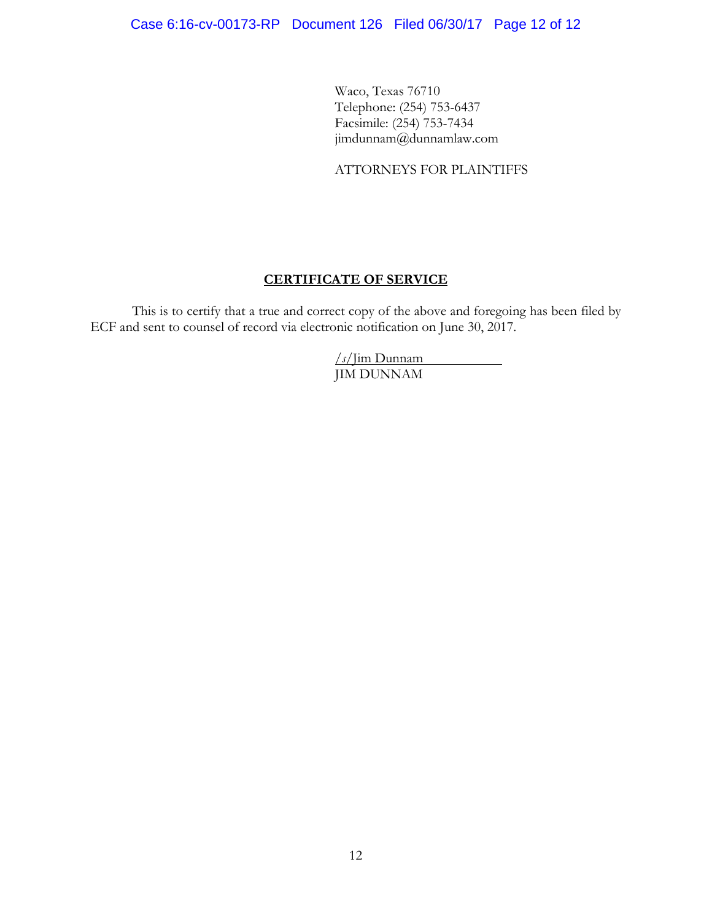Waco, Texas 76710 Telephone: (254) 753-6437 Facsimile: (254) 753-7434 jimdunnam@dunnamlaw.com

## ATTORNEYS FOR PLAINTIFFS

# **CERTIFICATE OF SERVICE**

This is to certify that a true and correct copy of the above and foregoing has been filed by ECF and sent to counsel of record via electronic notification on June 30, 2017.

> */s/*Jim Dunnam JIM DUNNAM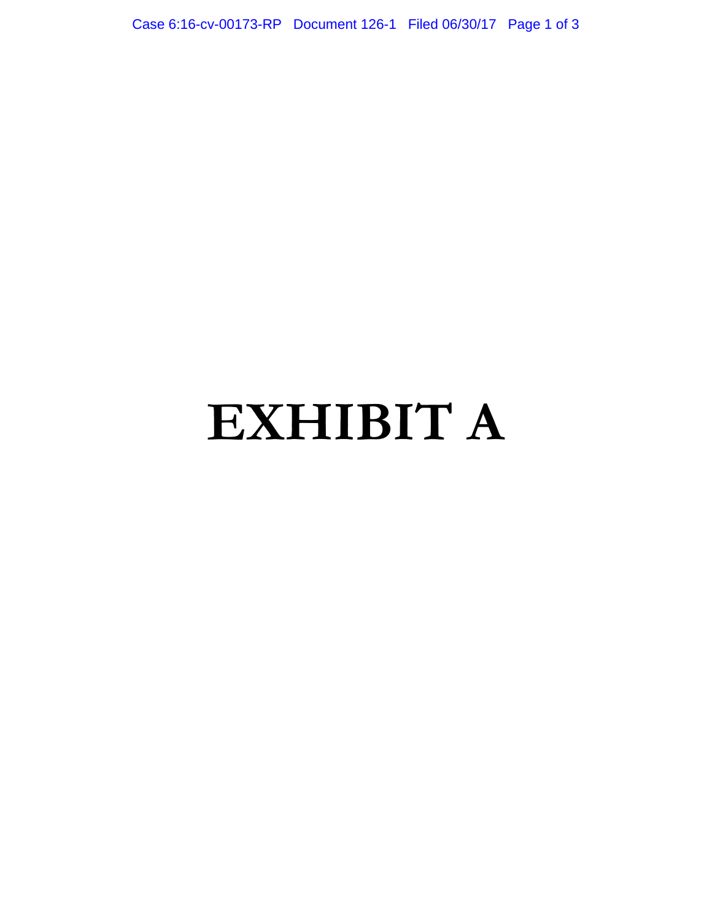Case 6:16-cv-00173-RP Document 126-1 Filed 06/30/17 Page 1 of 3

# **EXHIBIT A**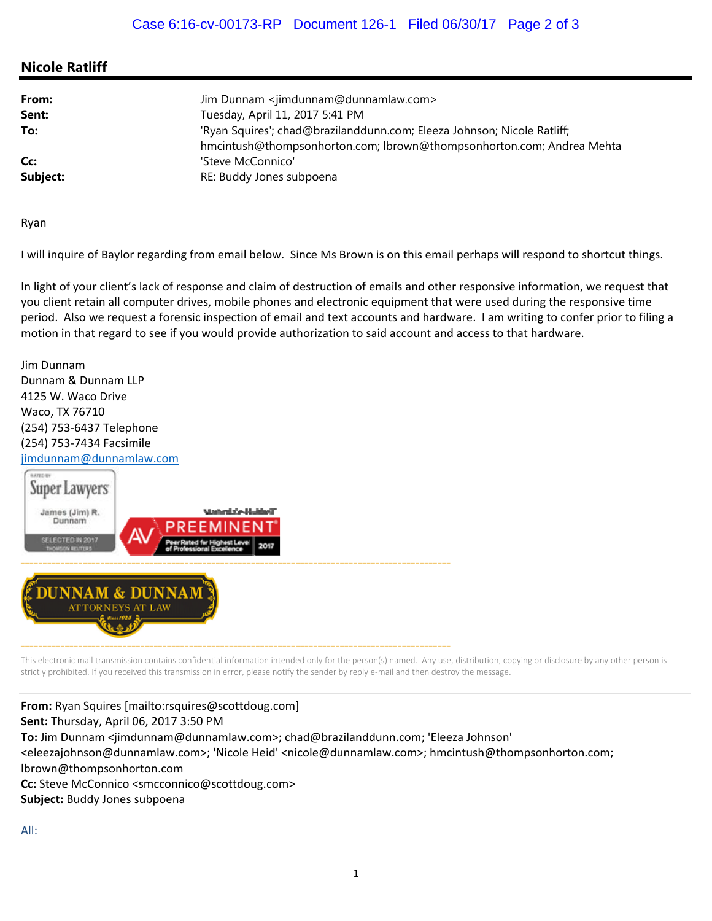# **Nicole Ratliff**

| From:<br>Sent: | Jim Dunnam <jimdunnam@dunnamlaw.com><br/>Tuesday, April 11, 2017 5:41 PM</jimdunnam@dunnamlaw.com> |
|----------------|----------------------------------------------------------------------------------------------------|
| To:            | 'Ryan Squires'; chad@brazilanddunn.com; Eleeza Johnson; Nicole Ratliff;                            |
| Cc:            | hmcintush@thompsonhorton.com; lbrown@thompsonhorton.com; Andrea Mehta<br>'Steve McConnico'         |
| Subject:       | RE: Buddy Jones subpoena                                                                           |

Ryan

I will inquire of Baylor regarding from email below. Since Ms Brown is on this email perhaps will respond to shortcut things.

In light of your client's lack of response and claim of destruction of emails and other responsive information, we request that you client retain all computer drives, mobile phones and electronic equipment that were used during the responsive time period. Also we request a forensic inspection of email and text accounts and hardware. I am writing to confer prior to filing a motion in that regard to see if you would provide authorization to said account and access to that hardware.

Jim Dunnam Dunnam & Dunnam LLP 4125 W. Waco Drive Waco, TX 76710 (254) 753‐6437 Telephone (254) 753‐7434 Facsimile



This electronic mail transmission contains confidential information intended only for the person(s) named. Any use, distribution, copying or disclosure by any other person is strictly prohibited. If you received this transmission in error, please notify the sender by reply e-mail and then destroy the message.

**From:** Ryan Squires [mailto:rsquires@scottdoug.com] **Sent:** Thursday, April 06, 2017 3:50 PM **To:** Jim Dunnam <jimdunnam@dunnamlaw.com>; chad@brazilanddunn.com; 'Eleeza Johnson' <eleezajohnson@dunnamlaw.com>; 'Nicole Heid' <nicole@dunnamlaw.com>; hmcintush@thompsonhorton.com; lbrown@thompsonhorton.com **Cc:** Steve McConnico <smcconnico@scottdoug.com> **Subject:** Buddy Jones subpoena

All: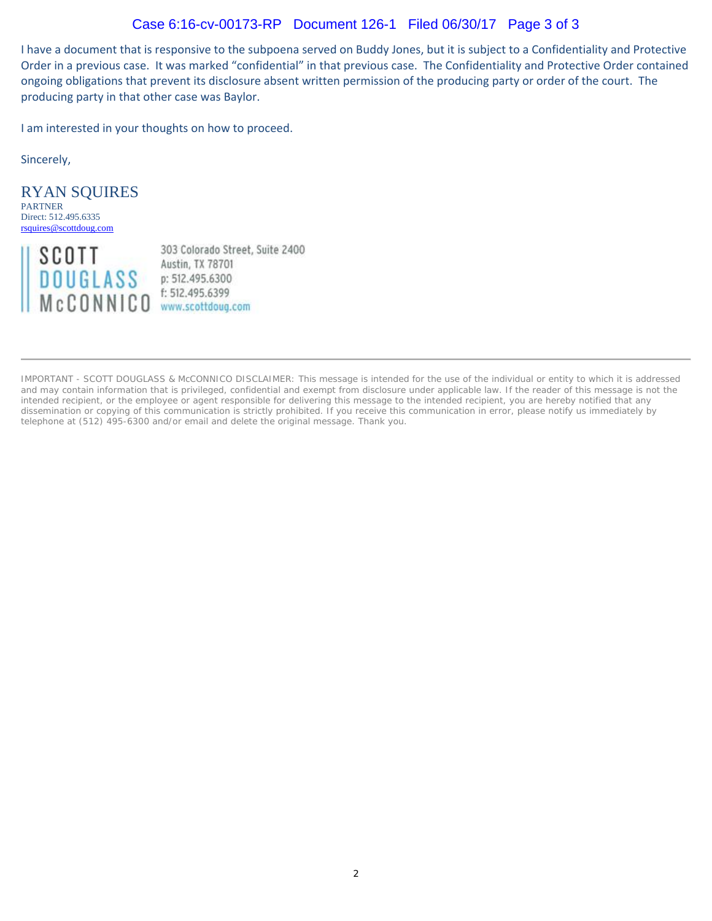# Case 6:16-cv-00173-RP Document 126-1 Filed 06/30/17 Page 3 of 3

I have a document that is responsive to the subpoena served on Buddy Jones, but it is subject to a Confidentiality and Protective Order in a previous case. It was marked "confidential" in that previous case. The Confidentiality and Protective Order contained ongoing obligations that prevent its disclosure absent written permission of the producing party or order of the court. The producing party in that other case was Baylor.

I am interested in your thoughts on how to proceed.

Sincerely,

RYAN SQUIRES PARTNER Direct: 512.495.6335 rsquires@scottdoug.com



303 Colorado Street, Suite 2400 Austin, TX 78701

IMPORTANT - SCOTT DOUGLASS & McCONNICO DISCLAIMER: This message is intended for the use of the individual or entity to which it is addressed and may contain information that is privileged, confidential and exempt from disclosure under applicable law. If the reader of this message is not the intended recipient, or the employee or agent responsible for delivering this message to the intended recipient, you are hereby notified that any dissemination or copying of this communication is strictly prohibited. If you receive this communication in error, please notify us immediately by telephone at (512) 495-6300 and/or email and delete the original message. Thank you.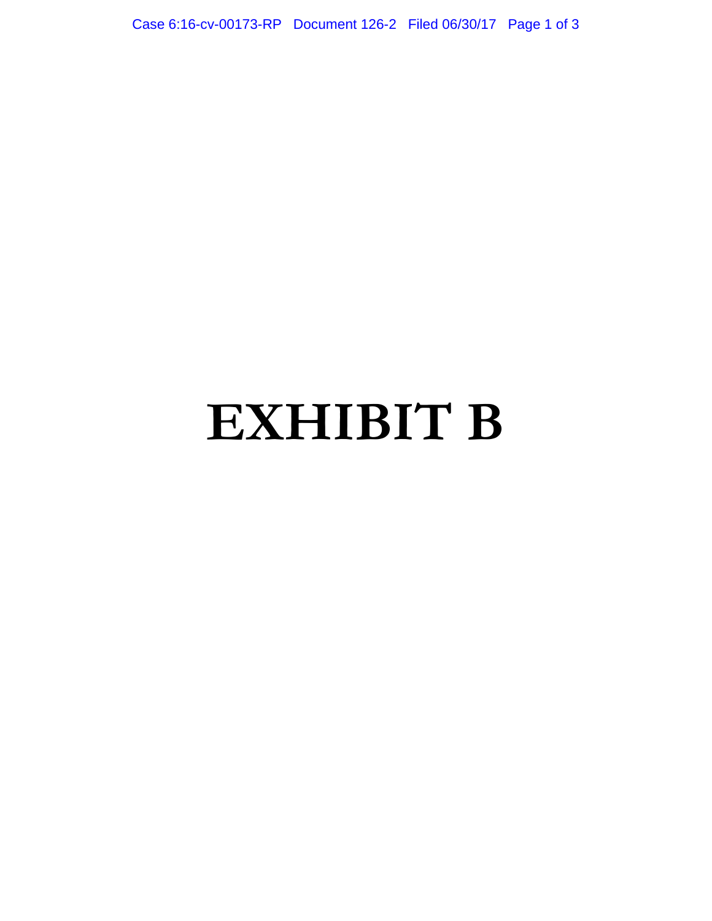Case 6:16-cv-00173-RP Document 126-2 Filed 06/30/17 Page 1 of 3

# **EXHIBIT B**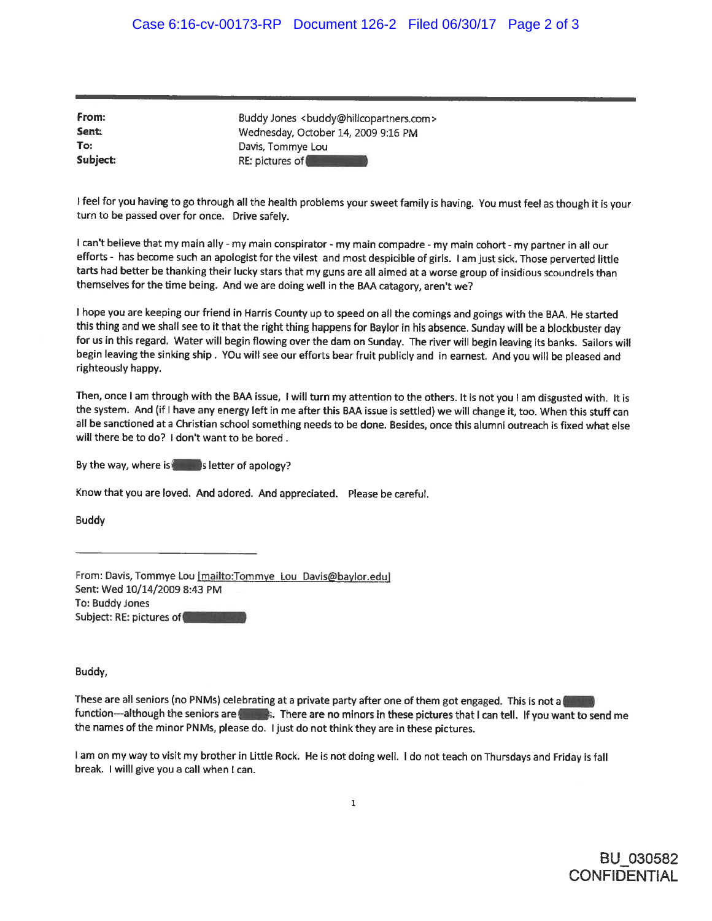From: Sent: To: Subject:

Buddy Jones <buddy@hillcopartners.com> Wednesday, October 14, 2009 9:16 PM Davis, Tommye Lou RE: pictures of

I feel for you having to go through all the health problems your sweet family is having. You must feel as though it is your turn to be passed over for once. Drive safely.

I can't believe that my main ally - my main conspirator - my main compadre - my main cohort - my partner in all our efforts - has become such an apologist for the vilest and most despicible of girls. I am just sick. Those perverted little tarts had better be thanking their lucky stars that my guns are all aimed at a worse group of insidious scoundrels than themselves for the time being. And we are doing well in the BAA catagory, aren't we?

I hope you are keeping our friend in Harris County up to speed on all the comings and goings with the BAA. He started this thing and we shall see to it that the right thing happens for Baylor in his absence. Sunday will be a blockbuster day for us in this regard. Water will begin flowing over the dam on Sunday. The river will begin leaving its banks. Sailors will begin leaving the sinking ship. YOu will see our efforts bear fruit publicly and in earnest. And you will be pleased and righteously happy.

Then, once I am through with the BAA issue, I will turn my attention to the others. It is not you I am disgusted with. It is the system. And (if I have any energy left in me after this BAA issue is settled) we will change it, too. When this stuff can all be sanctioned at a Christian school something needs to be done. Besides, once this alumni outreach is fixed what else will there be to do? I don't want to be bored.

By the way, where is seen in section of apology?

Know that you are loved. And adored. And appreciated. Please be careful.

**Buddy** 

From: Davis, Tommye Lou [mailto:Tommye\_Lou\_Davis@baylor.edu] Sent: Wed 10/14/2009 8:43 PM To: Buddy Jones Subject: RE: pictures of

Buddy,

These are all seniors (no PNMs) celebrating at a private party after one of them got engaged. This is not a function---although the seniors are **the set of the case of the set of the set of the set of the set of the set of the set of the send me** the names of the minor PNMs, please do. I just do not think they are in these pictures.

I am on my way to visit my brother in Little Rock. He is not doing well. I do not teach on Thursdays and Friday is fall break. I will give you a call when I can.